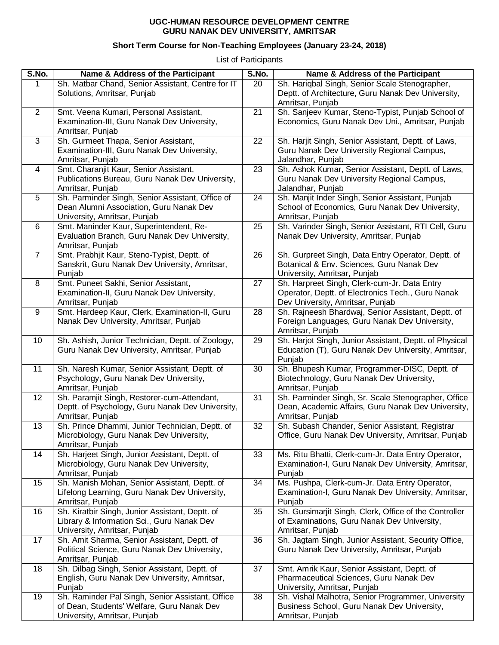## **UGC-HUMAN RESOURCE DEVELOPMENT CENTRE GURU NANAK DEV UNIVERSITY, AMRITSAR**

## **Short Term Course for Non-Teaching Employees (January 23-24, 2018)**

List of Participants

| S.No.          | Name & Address of the Participant                                                | S.No. | Name & Address of the Participant                                                                    |
|----------------|----------------------------------------------------------------------------------|-------|------------------------------------------------------------------------------------------------------|
| 1              | Sh. Matbar Chand, Senior Assistant, Centre for IT<br>Solutions, Amritsar, Punjab | 20    | Sh. Hariqbal Singh, Senior Scale Stenographer,<br>Deptt. of Architecture, Guru Nanak Dev University, |
|                |                                                                                  |       | Amritsar, Punjab                                                                                     |
| $\overline{2}$ | Smt. Veena Kumari, Personal Assistant,                                           | 21    | Sh. Sanjeev Kumar, Steno-Typist, Punjab School of                                                    |
|                | Examination-III, Guru Nanak Dev University,<br>Amritsar, Punjab                  |       | Economics, Guru Nanak Dev Uni., Amritsar, Punjab                                                     |
| $\mathbf{3}$   | Sh. Gurmeet Thapa, Senior Assistant,                                             | 22    | Sh. Harjit Singh, Senior Assistant, Deptt. of Laws,                                                  |
|                | Examination-III, Guru Nanak Dev University,                                      |       | Guru Nanak Dev University Regional Campus,                                                           |
|                | Amritsar, Punjab                                                                 |       | Jalandhar, Punjab                                                                                    |
| $\overline{4}$ | Smt. Charanjit Kaur, Senior Assistant,                                           | 23    | Sh. Ashok Kumar, Senior Assistant, Deptt. of Laws,                                                   |
|                | Publications Bureau, Guru Nanak Dev University,                                  |       | Guru Nanak Dev University Regional Campus,                                                           |
|                | Amritsar, Punjab                                                                 |       | Jalandhar, Punjab                                                                                    |
| $\overline{5}$ | Sh. Parminder Singh, Senior Assistant, Office of                                 | 24    | Sh. Manjit Inder Singh, Senior Assistant, Punjab                                                     |
|                | Dean Alumni Association, Guru Nanak Dev                                          |       | School of Economics, Guru Nanak Dev University,                                                      |
|                | University, Amritsar, Punjab                                                     |       | Amritsar, Punjab                                                                                     |
| 6              | Smt. Maninder Kaur, Superintendent, Re-                                          | 25    | Sh. Varinder Singh, Senior Assistant, RTI Cell, Guru                                                 |
|                | Evaluation Branch, Guru Nanak Dev University,                                    |       | Nanak Dev University, Amritsar, Punjab                                                               |
| $\overline{7}$ | Amritsar, Punjab<br>Smt. Prabhjit Kaur, Steno-Typist, Deptt. of                  | 26    | Sh. Gurpreet Singh, Data Entry Operator, Deptt. of                                                   |
|                | Sanskrit, Guru Nanak Dev University, Amritsar,                                   |       | Botanical & Env. Sciences, Guru Nanak Dev                                                            |
|                | Punjab                                                                           |       | University, Amritsar, Punjab                                                                         |
| 8              | Smt. Puneet Sakhi, Senior Assistant,                                             | 27    | Sh. Harpreet Singh, Clerk-cum-Jr. Data Entry                                                         |
|                | Examination-II, Guru Nanak Dev University,                                       |       | Operator, Deptt. of Electronics Tech., Guru Nanak                                                    |
|                | Amritsar, Punjab                                                                 |       | Dev University, Amritsar, Punjab                                                                     |
| 9              | Smt. Hardeep Kaur, Clerk, Examination-II, Guru                                   | 28    | Sh. Rajneesh Bhardwaj, Senior Assistant, Deptt. of                                                   |
|                | Nanak Dev University, Amritsar, Punjab                                           |       | Foreign Languages, Guru Nanak Dev University,                                                        |
|                |                                                                                  |       | Amritsar, Punjab                                                                                     |
| 10             | Sh. Ashish, Junior Technician, Deptt. of Zoology,                                | 29    | Sh. Harjot Singh, Junior Assistant, Deptt. of Physical                                               |
|                | Guru Nanak Dev University, Amritsar, Punjab                                      |       | Education (T), Guru Nanak Dev University, Amritsar,                                                  |
|                |                                                                                  |       | Punjab                                                                                               |
| 11             | Sh. Naresh Kumar, Senior Assistant, Deptt. of                                    | 30    | Sh. Bhupesh Kumar, Programmer-DISC, Deptt. of                                                        |
|                | Psychology, Guru Nanak Dev University,                                           |       | Biotechnology, Guru Nanak Dev University,                                                            |
|                | Amritsar, Punjab                                                                 |       | Amritsar, Punjab                                                                                     |
| 12             | Sh. Paramjit Singh, Restorer-cum-Attendant,                                      | 31    | Sh. Parminder Singh, Sr. Scale Stenographer, Office                                                  |
|                | Deptt. of Psychology, Guru Nanak Dev University,                                 |       | Dean, Academic Affairs, Guru Nanak Dev University,                                                   |
| 13             | Amritsar, Punjab<br>Sh. Prince Dhammi, Junior Technician, Deptt. of              | 32    | Amritsar, Punjab<br>Sh. Subash Chander, Senior Assistant, Registrar                                  |
|                | Microbiology, Guru Nanak Dev University,                                         |       | Office, Guru Nanak Dev University, Amritsar, Punjab                                                  |
|                | Amritsar, Punjab                                                                 |       |                                                                                                      |
| 14             | Sh. Harjeet Singh, Junior Assistant, Deptt. of                                   | 33    | Ms. Ritu Bhatti, Clerk-cum-Jr. Data Entry Operator,                                                  |
|                | Microbiology, Guru Nanak Dev University,                                         |       | Examination-I, Guru Nanak Dev University, Amritsar,                                                  |
|                | Amritsar, Punjab                                                                 |       | Punjab                                                                                               |
| 15             | Sh. Manish Mohan, Senior Assistant, Deptt. of                                    | 34    | Ms. Pushpa, Clerk-cum-Jr. Data Entry Operator,                                                       |
|                | Lifelong Learning, Guru Nanak Dev University,                                    |       | Examination-I, Guru Nanak Dev University, Amritsar,                                                  |
|                | Amritsar, Punjab                                                                 |       | Punjab                                                                                               |
| 16             | Sh. Kiratbir Singh, Junior Assistant, Deptt. of                                  | 35    | Sh. Gursimarjit Singh, Clerk, Office of the Controller                                               |
|                | Library & Information Sci., Guru Nanak Dev                                       |       | of Examinations, Guru Nanak Dev University,                                                          |
|                | University, Amritsar, Punjab                                                     |       | Amritsar, Punjab                                                                                     |
| 17             | Sh. Amit Sharma, Senior Assistant, Deptt. of                                     | 36    | Sh. Jagtam Singh, Junior Assistant, Security Office,                                                 |
|                | Political Science, Guru Nanak Dev University,                                    |       | Guru Nanak Dev University, Amritsar, Punjab                                                          |
|                | Amritsar, Punjab                                                                 |       |                                                                                                      |
| 18             | Sh. Dilbag Singh, Senior Assistant, Deptt. of                                    | 37    | Smt. Amrik Kaur, Senior Assistant, Deptt. of                                                         |
|                | English, Guru Nanak Dev University, Amritsar,                                    |       | Pharmaceutical Sciences, Guru Nanak Dev                                                              |
|                | Punjab                                                                           |       | University, Amritsar, Punjab                                                                         |
| 19             | Sh. Raminder Pal Singh, Senior Assistant, Office                                 | 38    | Sh. Vishal Malhotra, Senior Programmer, University                                                   |
|                | of Dean, Students' Welfare, Guru Nanak Dev<br>University, Amritsar, Punjab       |       | Business School, Guru Nanak Dev University,<br>Amritsar, Punjab                                      |
|                |                                                                                  |       |                                                                                                      |